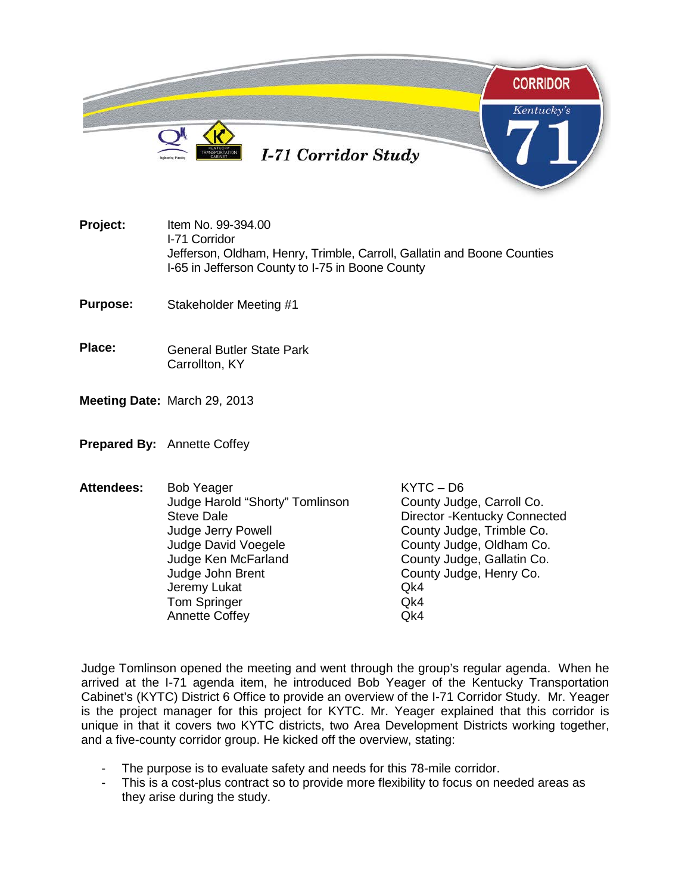

**Project:** Item No. 99-394.00 I-71 Corridor Jefferson, Oldham, Henry, Trimble, Carroll, Gallatin and Boone Counties I-65 in Jefferson County to I-75 in Boone County

**Purpose:** Stakeholder Meeting #1

- **Place:** General Butler State Park Carrollton, KY
- **Meeting Date:** March 29, 2013
- **Prepared By:** Annette Coffey
- Attendees: Bob Yeager KYTC D6<br>Judge Harold "Shorty" Tomlinson County Judge, Carroll Co. Judge Harold "Shorty" Tomlinson Steve Dale **Director -Kentucky Connected** Judge Jerry Powell **County Judge, Trimble Co.**<br>Judge David Voegele County Judge, Oldham Co. Judge David Voegele<br>Judge Ken McFarland County Judge, Gallatin Co. Judge Ken McFarland **County Judge, Gallatin Co.**<br>Judge John Brent County Judge, Henry Co. County Judge, Henry Co. Jeremy Lukat Qk4 Tom Springer Gallery Communication Communication Communication Communication Communication Communication Communication Communication Communication Communication Communication Communication Communication Communication Commu Annette Coffey

Judge Tomlinson opened the meeting and went through the group's regular agenda. When he arrived at the I-71 agenda item, he introduced Bob Yeager of the Kentucky Transportation Cabinet's (KYTC) District 6 Office to provide an overview of the I-71 Corridor Study. Mr. Yeager is the project manager for this project for KYTC. Mr. Yeager explained that this corridor is unique in that it covers two KYTC districts, two Area Development Districts working together, and a five-county corridor group. He kicked off the overview, stating:

- The purpose is to evaluate safety and needs for this 78-mile corridor.<br>- This is a cost-plus contract so to provide more flexibility to focus on ne
- This is a cost-plus contract so to provide more flexibility to focus on needed areas as they arise during the study.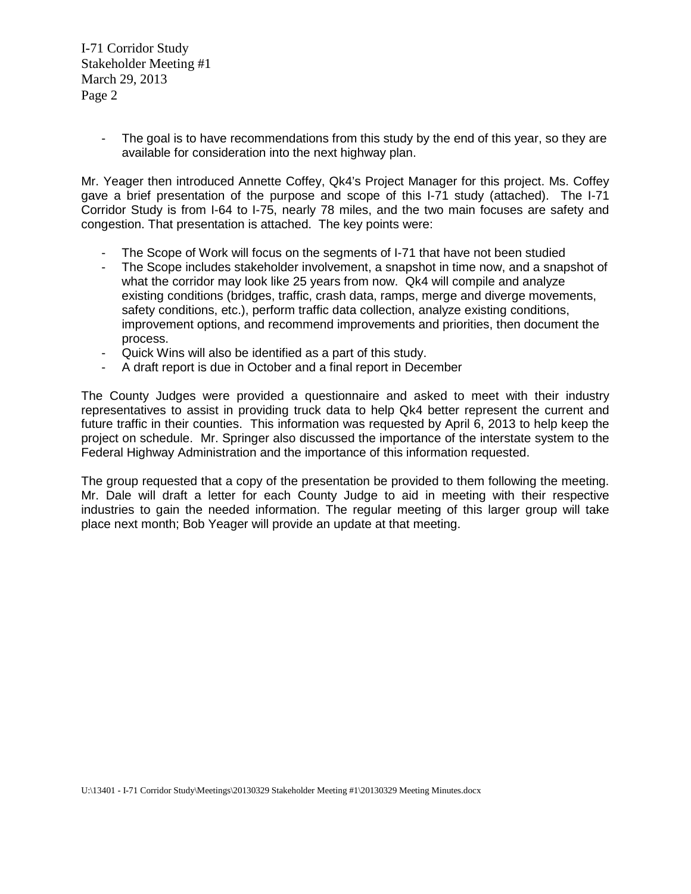I-71 Corridor Study Stakeholder Meeting #1 March 29, 2013 Page 2

> - The goal is to have recommendations from this study by the end of this year, so they are available for consideration into the next highway plan.

Mr. Yeager then introduced Annette Coffey, Qk4's Project Manager for this project. Ms. Coffey gave a brief presentation of the purpose and scope of this I-71 study (attached). The I-71 Corridor Study is from I-64 to I-75, nearly 78 miles, and the two main focuses are safety and congestion. That presentation is attached. The key points were:

- The Scope of Work will focus on the segments of I-71 that have not been studied
- The Scope includes stakeholder involvement, a snapshot in time now, and a snapshot of what the corridor may look like 25 years from now. Qk4 will compile and analyze existing conditions (bridges, traffic, crash data, ramps, merge and diverge movements, safety conditions, etc.), perform traffic data collection, analyze existing conditions, improvement options, and recommend improvements and priorities, then document the process.
- Quick Wins will also be identified as a part of this study.
- A draft report is due in October and a final report in December

The County Judges were provided a questionnaire and asked to meet with their industry representatives to assist in providing truck data to help Qk4 better represent the current and future traffic in their counties. This information was requested by April 6, 2013 to help keep the project on schedule. Mr. Springer also discussed the importance of the interstate system to the Federal Highway Administration and the importance of this information requested.

The group requested that a copy of the presentation be provided to them following the meeting. Mr. Dale will draft a letter for each County Judge to aid in meeting with their respective industries to gain the needed information. The regular meeting of this larger group will take place next month; Bob Yeager will provide an update at that meeting.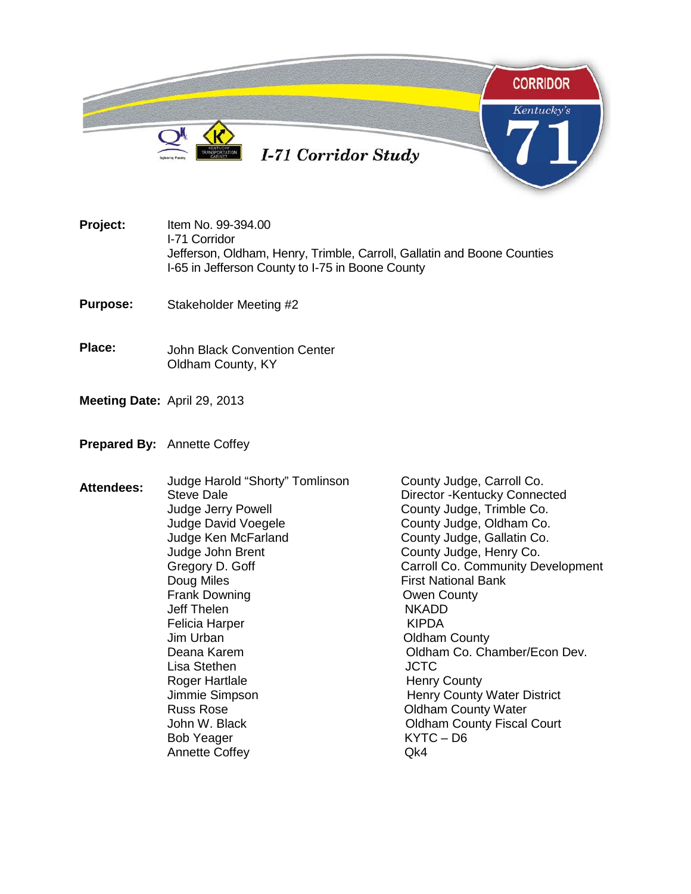

- **Project:** Item No. 99-394.00 I-71 Corridor Jefferson, Oldham, Henry, Trimble, Carroll, Gallatin and Boone Counties I-65 in Jefferson County to I-75 in Boone County
- **Purpose:** Stakeholder Meeting #2
- **Place:** John Black Convention Center Oldham County, KY
- **Meeting Date:** April 29, 2013
- **Prepared By:** Annette Coffey
- Attendees: Judge Harold "Shorty" Tomlinson County Judge, Carroll Co.<br>Steve Dale **Communisty** Director -Kentucky Connector Director -Kentucky Connected Judge Jerry Powell **County Judge, Trimble Co.**<br>Judge David Voegele County Judge, Oldham Co. Judge David Voegele **County Judge, Oldham Co.**<br>Judge Ken McFarland County Judge, Gallatin Co. Judge Ken McFarland **County Judge, Gallatin Co.**<br>Judge John Brent County Judge, Henry Co. Judge John Brent County Judge, Henry Co.<br>Gregory D. Goff Carroll Co. Community De Carroll Co. Community Development Doug Miles **First National Bank** Frank Downing The County County<br>
Jeff Thelen The County NKADD Jeff Thelen Felicia Harper No. 1999 - KIPDA Jim Urban **Oldham County**<br>Deana Karem **Oldham County** Oldham Co. Ch Oldham Co. Chamber/Econ Dev. Lisa Stethen **International COVID-** JCTC Roger Hartlale **Henry County** Jimmie Simpson **Henry County Water District** Russ Rose **County Water** County Water John W. Black **Oldham County Fiscal Court** Bob Yeager KYTC – D6 Annette Coffey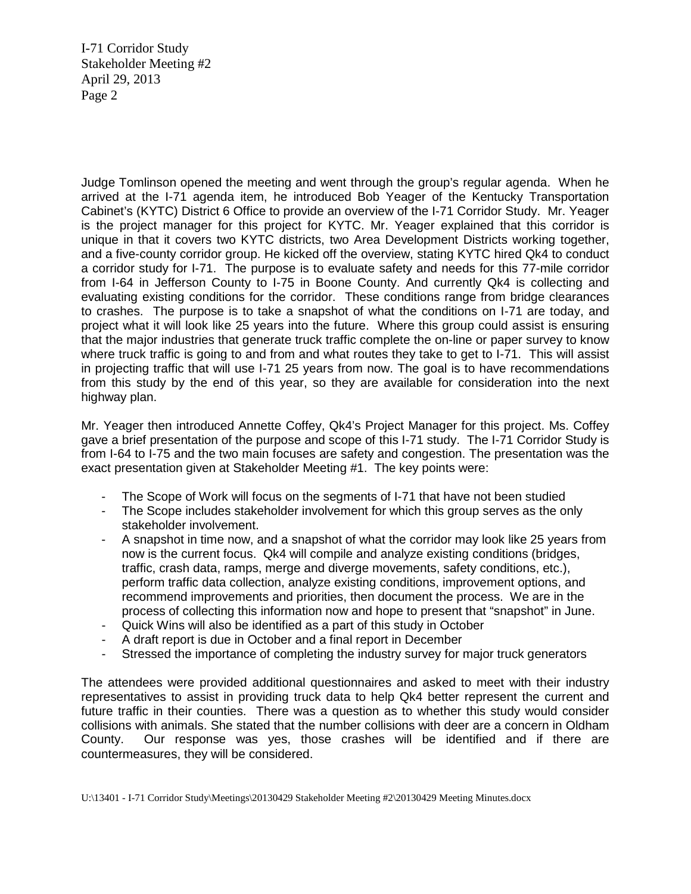I-71 Corridor Study Stakeholder Meeting #2 April 29, 2013 Page 2

Judge Tomlinson opened the meeting and went through the group's regular agenda. When he arrived at the I-71 agenda item, he introduced Bob Yeager of the Kentucky Transportation Cabinet's (KYTC) District 6 Office to provide an overview of the I-71 Corridor Study. Mr. Yeager is the project manager for this project for KYTC. Mr. Yeager explained that this corridor is unique in that it covers two KYTC districts, two Area Development Districts working together, and a five-county corridor group. He kicked off the overview, stating KYTC hired Qk4 to conduct a corridor study for I-71. The purpose is to evaluate safety and needs for this 77-mile corridor from I-64 in Jefferson County to I-75 in Boone County. And currently Qk4 is collecting and evaluating existing conditions for the corridor. These conditions range from bridge clearances to crashes. The purpose is to take a snapshot of what the conditions on I-71 are today, and project what it will look like 25 years into the future. Where this group could assist is ensuring that the major industries that generate truck traffic complete the on-line or paper survey to know where truck traffic is going to and from and what routes they take to get to I-71. This will assist in projecting traffic that will use I-71 25 years from now. The goal is to have recommendations from this study by the end of this year, so they are available for consideration into the next highway plan.

Mr. Yeager then introduced Annette Coffey, Qk4's Project Manager for this project. Ms. Coffey gave a brief presentation of the purpose and scope of this I-71 study. The I-71 Corridor Study is from I-64 to I-75 and the two main focuses are safety and congestion. The presentation was the exact presentation given at Stakeholder Meeting #1. The key points were:

- The Scope of Work will focus on the segments of I-71 that have not been studied
- The Scope includes stakeholder involvement for which this group serves as the only stakeholder involvement.
- A snapshot in time now, and a snapshot of what the corridor may look like 25 years from now is the current focus. Qk4 will compile and analyze existing conditions (bridges, traffic, crash data, ramps, merge and diverge movements, safety conditions, etc.), perform traffic data collection, analyze existing conditions, improvement options, and recommend improvements and priorities, then document the process. We are in the process of collecting this information now and hope to present that "snapshot" in June.
- Quick Wins will also be identified as a part of this study in October
- A draft report is due in October and a final report in December
- Stressed the importance of completing the industry survey for major truck generators

The attendees were provided additional questionnaires and asked to meet with their industry representatives to assist in providing truck data to help Qk4 better represent the current and future traffic in their counties. There was a question as to whether this study would consider collisions with animals. She stated that the number collisions with deer are a concern in Oldham County. Our response was yes, those crashes will be identified and if there are countermeasures, they will be considered.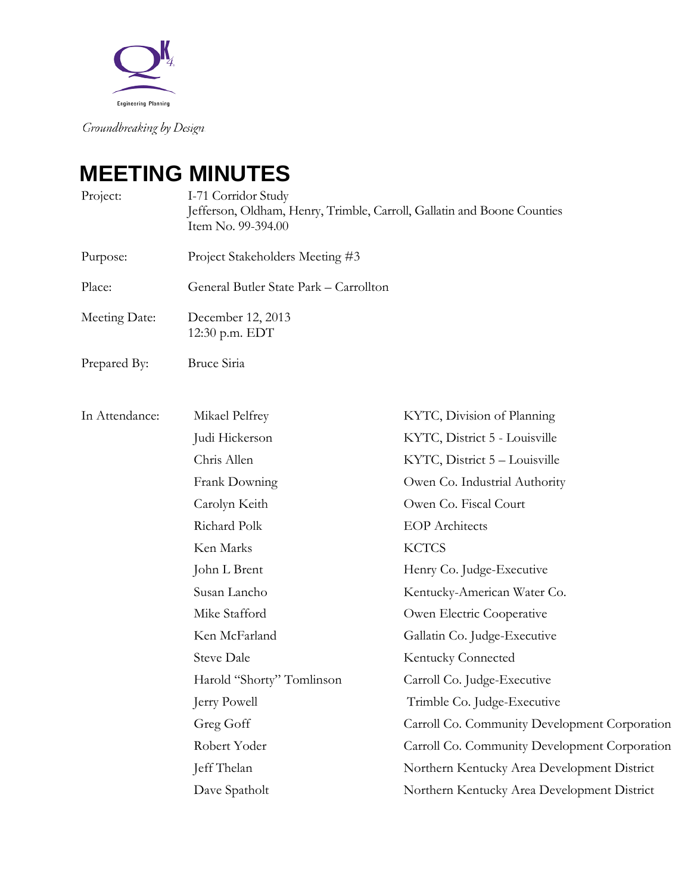

Groundbreaking by Design.

## **MEETING MINUTES**

| Project:       | I-71 Corridor Study<br>Jefferson, Oldham, Henry, Trimble, Carroll, Gallatin and Boone Counties<br>Item No. 99-394.00 |                                               |
|----------------|----------------------------------------------------------------------------------------------------------------------|-----------------------------------------------|
| Purpose:       | Project Stakeholders Meeting #3                                                                                      |                                               |
| Place:         | General Butler State Park - Carrollton                                                                               |                                               |
| Meeting Date:  | December 12, 2013<br>12:30 p.m. EDT                                                                                  |                                               |
| Prepared By:   | Bruce Siria                                                                                                          |                                               |
| In Attendance: | Mikael Pelfrey                                                                                                       | KYTC, Division of Planning                    |
|                | Judi Hickerson                                                                                                       | KYTC, District 5 - Louisville                 |
|                | Chris Allen                                                                                                          | KYTC, District 5 - Louisville                 |
|                | Frank Downing                                                                                                        | Owen Co. Industrial Authority                 |
|                | Carolyn Keith                                                                                                        | Owen Co. Fiscal Court                         |
|                | Richard Polk                                                                                                         | <b>EOP</b> Architects                         |
|                | Ken Marks                                                                                                            | <b>KCTCS</b>                                  |
|                | John L Brent                                                                                                         | Henry Co. Judge-Executive                     |
|                | Susan Lancho                                                                                                         | Kentucky-American Water Co.                   |
|                | Mike Stafford                                                                                                        | Owen Electric Cooperative                     |
|                | Ken McFarland                                                                                                        | Gallatin Co. Judge-Executive                  |
|                | <b>Steve Dale</b>                                                                                                    | <b>Kentucky Connected</b>                     |
|                | Harold "Shorty" Tomlinson                                                                                            | Carroll Co. Judge-Executive                   |
|                | Jerry Powell                                                                                                         | Trimble Co. Judge-Executive                   |
|                | Greg Goff                                                                                                            | Carroll Co. Community Development Corporation |
|                | Robert Yoder                                                                                                         | Carroll Co. Community Development Corporation |
|                | Jeff Thelan                                                                                                          | Northern Kentucky Area Development District   |
|                | Dave Spatholt                                                                                                        | Northern Kentucky Area Development District   |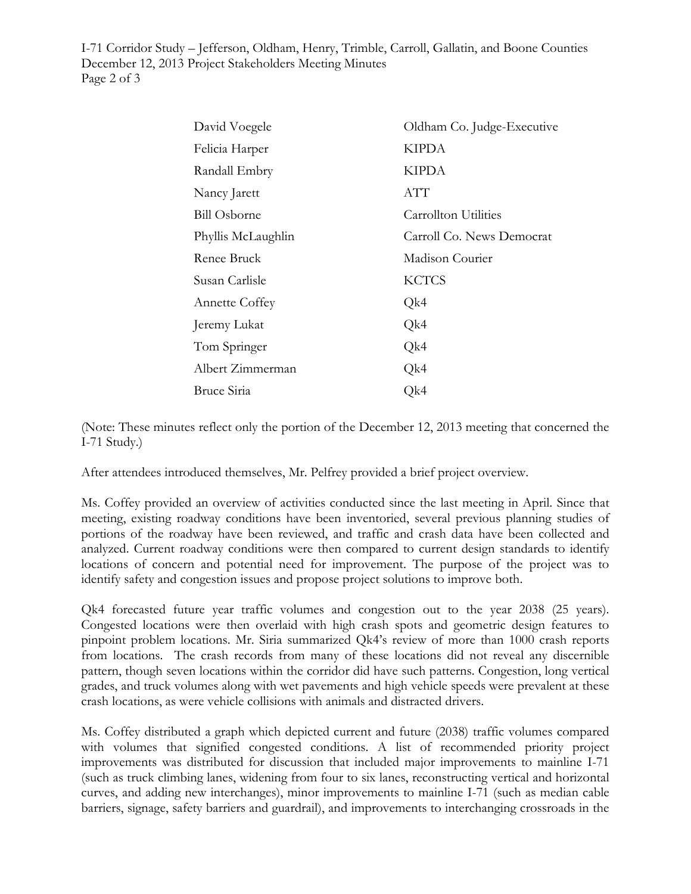I-71 Corridor Study – Jefferson, Oldham, Henry, Trimble, Carroll, Gallatin, and Boone Counties December 12, 2013 Project Stakeholders Meeting Minutes Page 2 of 3

| David Voegele         | Oldham Co. Judge-Executive |
|-----------------------|----------------------------|
| Felicia Harper        | <b>KIPDA</b>               |
| Randall Embry         | <b>KIPDA</b>               |
| Nancy Jarett          | ATT                        |
| <b>Bill Osborne</b>   | Carrollton Utilities       |
| Phyllis McLaughlin    | Carroll Co. News Democrat  |
| Renee Bruck           | Madison Courier            |
| Susan Carlisle        | <b>KCTCS</b>               |
| <b>Annette Coffey</b> | Qk4                        |
| Jeremy Lukat          | Qk4                        |
| Tom Springer          | Qk4                        |
| Albert Zimmerman      | Qk4                        |
| Bruce Siria           | Qk4                        |

(Note: These minutes reflect only the portion of the December 12, 2013 meeting that concerned the I-71 Study.)

After attendees introduced themselves, Mr. Pelfrey provided a brief project overview.

Ms. Coffey provided an overview of activities conducted since the last meeting in April. Since that meeting, existing roadway conditions have been inventoried, several previous planning studies of portions of the roadway have been reviewed, and traffic and crash data have been collected and analyzed. Current roadway conditions were then compared to current design standards to identify locations of concern and potential need for improvement. The purpose of the project was to identify safety and congestion issues and propose project solutions to improve both.

Qk4 forecasted future year traffic volumes and congestion out to the year 2038 (25 years). Congested locations were then overlaid with high crash spots and geometric design features to pinpoint problem locations. Mr. Siria summarized Qk4's review of more than 1000 crash reports from locations. The crash records from many of these locations did not reveal any discernible pattern, though seven locations within the corridor did have such patterns. Congestion, long vertical grades, and truck volumes along with wet pavements and high vehicle speeds were prevalent at these crash locations, as were vehicle collisions with animals and distracted drivers.

Ms. Coffey distributed a graph which depicted current and future (2038) traffic volumes compared with volumes that signified congested conditions. A list of recommended priority project improvements was distributed for discussion that included major improvements to mainline I-71 (such as truck climbing lanes, widening from four to six lanes, reconstructing vertical and horizontal curves, and adding new interchanges), minor improvements to mainline I-71 (such as median cable barriers, signage, safety barriers and guardrail), and improvements to interchanging crossroads in the